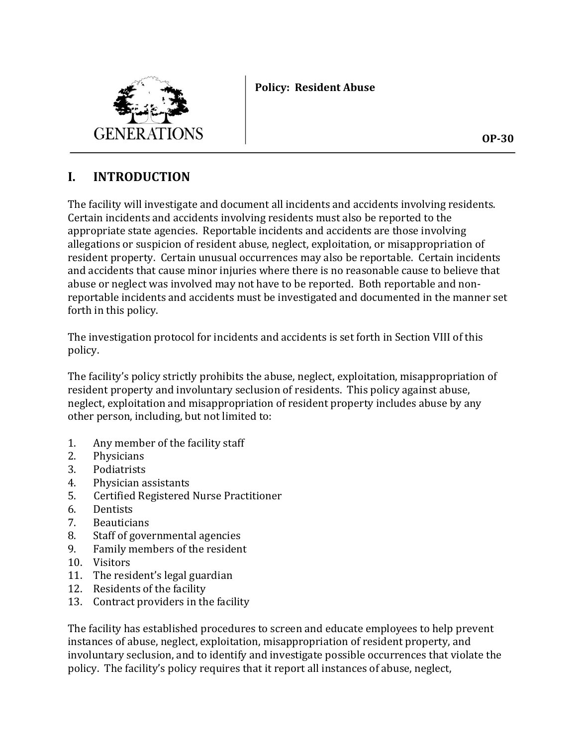# **Policy: Resident Abuse**



# **I. INTRODUCTION**

The facility will investigate and document all incidents and accidents involving residents. Certain incidents and accidents involving residents must also be reported to the appropriate state agencies. Reportable incidents and accidents are those involving allegations or suspicion of resident abuse, neglect, exploitation, or misappropriation of resident property. Certain unusual occurrences may also be reportable. Certain incidents and accidents that cause minor injuries where there is no reasonable cause to believe that abuse or neglect was involved may not have to be reported. Both reportable and nonreportable incidents and accidents must be investigated and documented in the manner set forth in this policy.

The investigation protocol for incidents and accidents is set forth in Section VIII of this policy.

The facility's policy strictly prohibits the abuse, neglect, exploitation, misappropriation of resident property and involuntary seclusion of residents. This policy against abuse, neglect, exploitation and misappropriation of resident property includes abuse by any other person, including, but not limited to:

- 1. Any member of the facility staff
- 2. Physicians
- 3. Podiatrists
- 4. Physician assistants
- 5. Certified Registered Nurse Practitioner
- 6. Dentists
- 7. Beauticians
- 8. Staff of governmental agencies
- 9. Family members of the resident
- 10. Visitors
- 11. The resident's legal guardian
- 12. Residents of the facility
- 13. Contract providers in the facility

The facility has established procedures to screen and educate employees to help prevent instances of abuse, neglect, exploitation, misappropriation of resident property, and involuntary seclusion, and to identify and investigate possible occurrences that violate the policy. The facility's policy requires that it report all instances of abuse, neglect,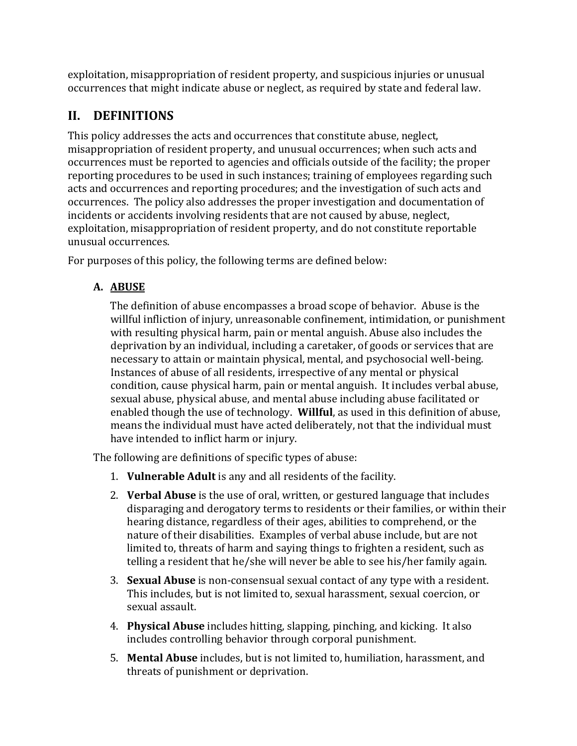exploitation, misappropriation of resident property, and suspicious injuries or unusual occurrences that might indicate abuse or neglect, as required by state and federal law.

# **II. DEFINITIONS**

This policy addresses the acts and occurrences that constitute abuse, neglect, misappropriation of resident property, and unusual occurrences; when such acts and occurrences must be reported to agencies and officials outside of the facility; the proper reporting procedures to be used in such instances; training of employees regarding such acts and occurrences and reporting procedures; and the investigation of such acts and occurrences. The policy also addresses the proper investigation and documentation of incidents or accidents involving residents that are not caused by abuse, neglect, exploitation, misappropriation of resident property, and do not constitute reportable unusual occurrences.

For purposes of this policy, the following terms are defined below:

# **A. ABUSE**

The definition of abuse encompasses a broad scope of behavior. Abuse is the willful infliction of injury, unreasonable confinement, intimidation, or punishment with resulting physical harm, pain or mental anguish. Abuse also includes the deprivation by an individual, including a caretaker, of goods or services that are necessary to attain or maintain physical, mental, and psychosocial well-being. Instances of abuse of all residents, irrespective of any mental or physical condition, cause physical harm, pain or mental anguish. It includes verbal abuse, sexual abuse, physical abuse, and mental abuse including abuse facilitated or enabled though the use of technology. **Willful**, as used in this definition of abuse, means the individual must have acted deliberately, not that the individual must have intended to inflict harm or injury.

The following are definitions of specific types of abuse:

- 1. **Vulnerable Adult** is any and all residents of the facility.
- 2. **Verbal Abuse** is the use of oral, written, or gestured language that includes disparaging and derogatory terms to residents or their families, or within their hearing distance, regardless of their ages, abilities to comprehend, or the nature of their disabilities. Examples of verbal abuse include, but are not limited to, threats of harm and saying things to frighten a resident, such as telling a resident that he/she will never be able to see his/her family again.
- 3. **Sexual Abuse** is non-consensual sexual contact of any type with a resident. This includes, but is not limited to, sexual harassment, sexual coercion, or sexual assault.
- 4. **Physical Abuse** includes hitting, slapping, pinching, and kicking. It also includes controlling behavior through corporal punishment.
- 5. **Mental Abuse** includes, but is not limited to, humiliation, harassment, and threats of punishment or deprivation.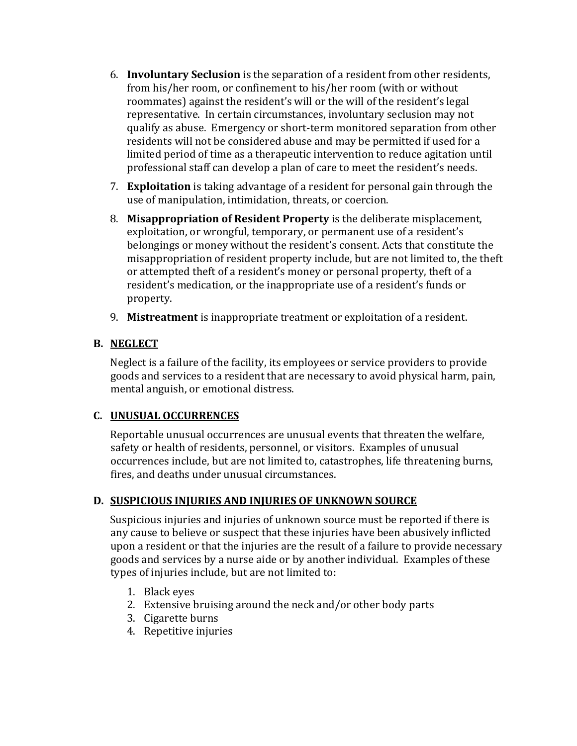- 6. **Involuntary Seclusion** is the separation of a resident from other residents, from his/her room, or confinement to his/her room (with or without roommates) against the resident's will or the will of the resident's legal representative. In certain circumstances, involuntary seclusion may not qualify as abuse. Emergency or short-term monitored separation from other residents will not be considered abuse and may be permitted if used for a limited period of time as a therapeutic intervention to reduce agitation until professional staff can develop a plan of care to meet the resident's needs.
- 7. **Exploitation** is taking advantage of a resident for personal gain through the use of manipulation, intimidation, threats, or coercion.
- 8. **Misappropriation of Resident Property** is the deliberate misplacement, exploitation, or wrongful, temporary, or permanent use of a resident's belongings or money without the resident's consent. Acts that constitute the misappropriation of resident property include, but are not limited to, the theft or attempted theft of a resident's money or personal property, theft of a resident's medication, or the inappropriate use of a resident's funds or property.
- 9. **Mistreatment** is inappropriate treatment or exploitation of a resident.

# **B. NEGLECT**

Neglect is a failure of the facility, its employees or service providers to provide goods and services to a resident that are necessary to avoid physical harm, pain, mental anguish, or emotional distress.

#### **C. UNUSUAL OCCURRENCES**

Reportable unusual occurrences are unusual events that threaten the welfare, safety or health of residents, personnel, or visitors. Examples of unusual occurrences include, but are not limited to, catastrophes, life threatening burns, fires, and deaths under unusual circumstances.

# **D. SUSPICIOUS INJURIES AND INJURIES OF UNKNOWN SOURCE**

Suspicious injuries and injuries of unknown source must be reported if there is any cause to believe or suspect that these injuries have been abusively inflicted upon a resident or that the injuries are the result of a failure to provide necessary goods and services by a nurse aide or by another individual. Examples of these types of injuries include, but are not limited to:

- 1. Black eyes
- 2. Extensive bruising around the neck and/or other body parts
- 3. Cigarette burns
- 4. Repetitive injuries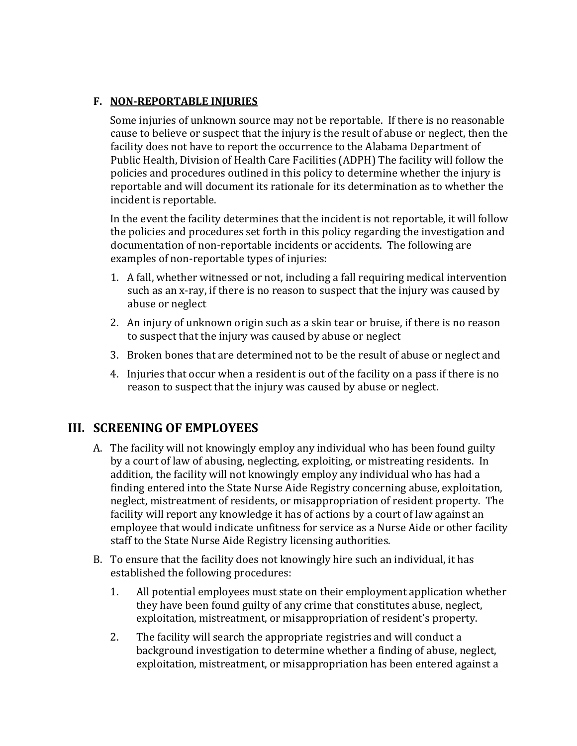### **F. NON-REPORTABLE INJURIES**

Some injuries of unknown source may not be reportable. If there is no reasonable cause to believe or suspect that the injury is the result of abuse or neglect, then the facility does not have to report the occurrence to the Alabama Department of Public Health, Division of Health Care Facilities (ADPH) The facility will follow the policies and procedures outlined in this policy to determine whether the injury is reportable and will document its rationale for its determination as to whether the incident is reportable.

In the event the facility determines that the incident is not reportable, it will follow the policies and procedures set forth in this policy regarding the investigation and documentation of non-reportable incidents or accidents. The following are examples of non-reportable types of injuries:

- 1. A fall, whether witnessed or not, including a fall requiring medical intervention such as an x-ray, if there is no reason to suspect that the injury was caused by abuse or neglect
- 2. An injury of unknown origin such as a skin tear or bruise, if there is no reason to suspect that the injury was caused by abuse or neglect
- 3. Broken bones that are determined not to be the result of abuse or neglect and
- 4. Injuries that occur when a resident is out of the facility on a pass if there is no reason to suspect that the injury was caused by abuse or neglect.

# **III. SCREENING OF EMPLOYEES**

- A. The facility will not knowingly employ any individual who has been found guilty by a court of law of abusing, neglecting, exploiting, or mistreating residents. In addition, the facility will not knowingly employ any individual who has had a finding entered into the State Nurse Aide Registry concerning abuse, exploitation, neglect, mistreatment of residents, or misappropriation of resident property. The facility will report any knowledge it has of actions by a court of law against an employee that would indicate unfitness for service as a Nurse Aide or other facility staff to the State Nurse Aide Registry licensing authorities.
- B. To ensure that the facility does not knowingly hire such an individual, it has established the following procedures:
	- 1. All potential employees must state on their employment application whether they have been found guilty of any crime that constitutes abuse, neglect, exploitation, mistreatment, or misappropriation of resident's property.
	- 2. The facility will search the appropriate registries and will conduct a background investigation to determine whether a finding of abuse, neglect, exploitation, mistreatment, or misappropriation has been entered against a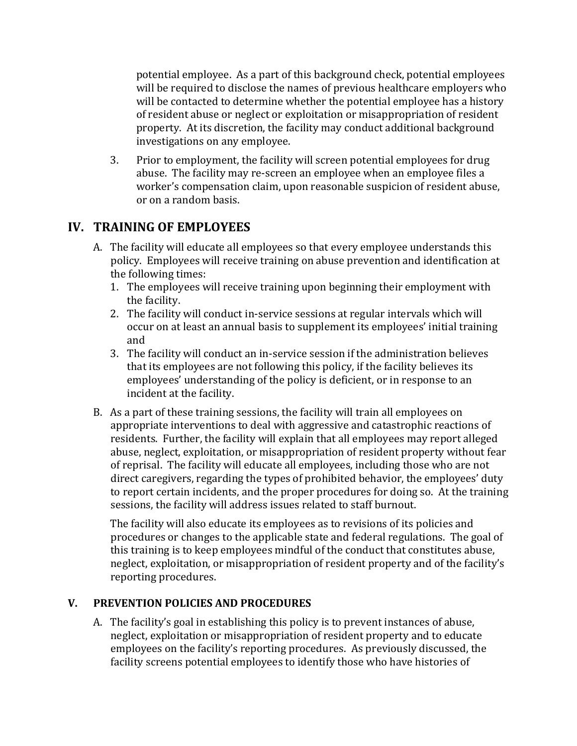potential employee. As a part of this background check, potential employees will be required to disclose the names of previous healthcare employers who will be contacted to determine whether the potential employee has a history of resident abuse or neglect or exploitation or misappropriation of resident property. At its discretion, the facility may conduct additional background investigations on any employee.

3. Prior to employment, the facility will screen potential employees for drug abuse. The facility may re-screen an employee when an employee files a worker's compensation claim, upon reasonable suspicion of resident abuse, or on a random basis.

# **IV. TRAINING OF EMPLOYEES**

- A. The facility will educate all employees so that every employee understands this policy. Employees will receive training on abuse prevention and identification at the following times:
	- 1. The employees will receive training upon beginning their employment with the facility.
	- 2. The facility will conduct in-service sessions at regular intervals which will occur on at least an annual basis to supplement its employees' initial training and
	- 3. The facility will conduct an in-service session if the administration believes that its employees are not following this policy, if the facility believes its employees' understanding of the policy is deficient, or in response to an incident at the facility.
- B. As a part of these training sessions, the facility will train all employees on appropriate interventions to deal with aggressive and catastrophic reactions of residents. Further, the facility will explain that all employees may report alleged abuse, neglect, exploitation, or misappropriation of resident property without fear of reprisal. The facility will educate all employees, including those who are not direct caregivers, regarding the types of prohibited behavior, the employees' duty to report certain incidents, and the proper procedures for doing so. At the training sessions, the facility will address issues related to staff burnout.

The facility will also educate its employees as to revisions of its policies and procedures or changes to the applicable state and federal regulations. The goal of this training is to keep employees mindful of the conduct that constitutes abuse, neglect, exploitation, or misappropriation of resident property and of the facility's reporting procedures.

# **V. PREVENTION POLICIES AND PROCEDURES**

A. The facility's goal in establishing this policy is to prevent instances of abuse, neglect, exploitation or misappropriation of resident property and to educate employees on the facility's reporting procedures. As previously discussed, the facility screens potential employees to identify those who have histories of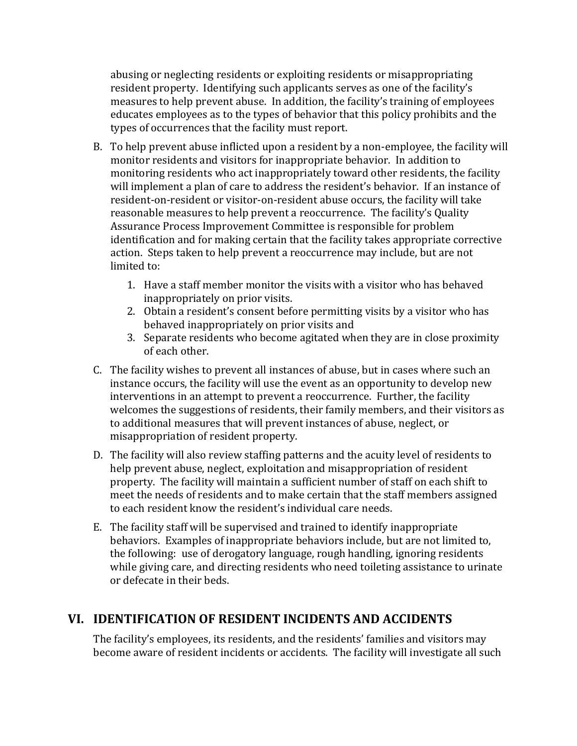abusing or neglecting residents or exploiting residents or misappropriating resident property. Identifying such applicants serves as one of the facility's measures to help prevent abuse. In addition, the facility's training of employees educates employees as to the types of behavior that this policy prohibits and the types of occurrences that the facility must report.

- B. To help prevent abuse inflicted upon a resident by a non-employee, the facility will monitor residents and visitors for inappropriate behavior. In addition to monitoring residents who act inappropriately toward other residents, the facility will implement a plan of care to address the resident's behavior. If an instance of resident-on-resident or visitor-on-resident abuse occurs, the facility will take reasonable measures to help prevent a reoccurrence. The facility's Quality Assurance Process Improvement Committee is responsible for problem identification and for making certain that the facility takes appropriate corrective action. Steps taken to help prevent a reoccurrence may include, but are not limited to:
	- 1. Have a staff member monitor the visits with a visitor who has behaved inappropriately on prior visits.
	- 2. Obtain a resident's consent before permitting visits by a visitor who has behaved inappropriately on prior visits and
	- 3. Separate residents who become agitated when they are in close proximity of each other.
- C. The facility wishes to prevent all instances of abuse, but in cases where such an instance occurs, the facility will use the event as an opportunity to develop new interventions in an attempt to prevent a reoccurrence. Further, the facility welcomes the suggestions of residents, their family members, and their visitors as to additional measures that will prevent instances of abuse, neglect, or misappropriation of resident property.
- D. The facility will also review staffing patterns and the acuity level of residents to help prevent abuse, neglect, exploitation and misappropriation of resident property. The facility will maintain a sufficient number of staff on each shift to meet the needs of residents and to make certain that the staff members assigned to each resident know the resident's individual care needs.
- E. The facility staff will be supervised and trained to identify inappropriate behaviors. Examples of inappropriate behaviors include, but are not limited to, the following: use of derogatory language, rough handling, ignoring residents while giving care, and directing residents who need toileting assistance to urinate or defecate in their beds.

# **VI. IDENTIFICATION OF RESIDENT INCIDENTS AND ACCIDENTS**

The facility's employees, its residents, and the residents' families and visitors may become aware of resident incidents or accidents. The facility will investigate all such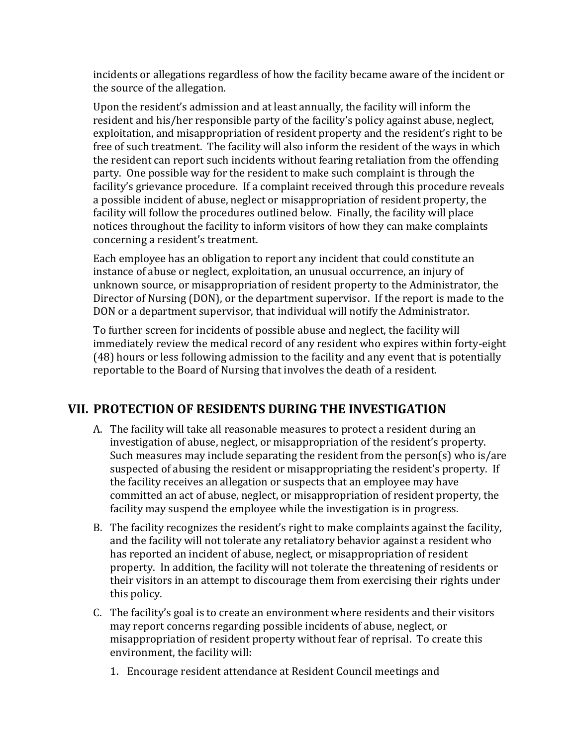incidents or allegations regardless of how the facility became aware of the incident or the source of the allegation.

Upon the resident's admission and at least annually, the facility will inform the resident and his/her responsible party of the facility's policy against abuse, neglect, exploitation, and misappropriation of resident property and the resident's right to be free of such treatment. The facility will also inform the resident of the ways in which the resident can report such incidents without fearing retaliation from the offending party. One possible way for the resident to make such complaint is through the facility's grievance procedure. If a complaint received through this procedure reveals a possible incident of abuse, neglect or misappropriation of resident property, the facility will follow the procedures outlined below. Finally, the facility will place notices throughout the facility to inform visitors of how they can make complaints concerning a resident's treatment.

Each employee has an obligation to report any incident that could constitute an instance of abuse or neglect, exploitation, an unusual occurrence, an injury of unknown source, or misappropriation of resident property to the Administrator, the Director of Nursing (DON), or the department supervisor. If the report is made to the DON or a department supervisor, that individual will notify the Administrator.

To further screen for incidents of possible abuse and neglect, the facility will immediately review the medical record of any resident who expires within forty-eight (48) hours or less following admission to the facility and any event that is potentially reportable to the Board of Nursing that involves the death of a resident.

# **VII. PROTECTION OF RESIDENTS DURING THE INVESTIGATION**

- A. The facility will take all reasonable measures to protect a resident during an investigation of abuse, neglect, or misappropriation of the resident's property. Such measures may include separating the resident from the person(s) who is/are suspected of abusing the resident or misappropriating the resident's property. If the facility receives an allegation or suspects that an employee may have committed an act of abuse, neglect, or misappropriation of resident property, the facility may suspend the employee while the investigation is in progress.
- B. The facility recognizes the resident's right to make complaints against the facility, and the facility will not tolerate any retaliatory behavior against a resident who has reported an incident of abuse, neglect, or misappropriation of resident property. In addition, the facility will not tolerate the threatening of residents or their visitors in an attempt to discourage them from exercising their rights under this policy.
- C. The facility's goal is to create an environment where residents and their visitors may report concerns regarding possible incidents of abuse, neglect, or misappropriation of resident property without fear of reprisal. To create this environment, the facility will:
	- 1. Encourage resident attendance at Resident Council meetings and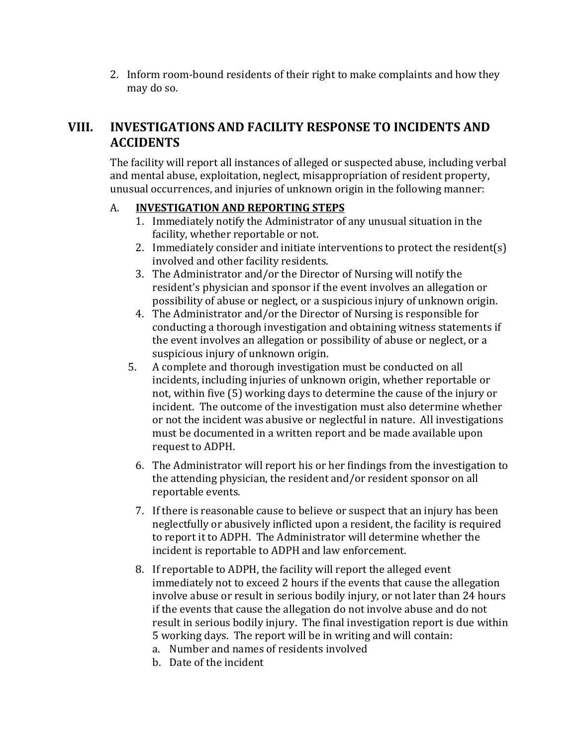2. Inform room-bound residents of their right to make complaints and how they may do so.

# **VIII. INVESTIGATIONS AND FACILITY RESPONSE TO INCIDENTS AND ACCIDENTS**

The facility will report all instances of alleged or suspected abuse, including verbal and mental abuse, exploitation, neglect, misappropriation of resident property, unusual occurrences, and injuries of unknown origin in the following manner:

### A. **INVESTIGATION AND REPORTING STEPS**

- 1. Immediately notify the Administrator of any unusual situation in the facility, whether reportable or not.
- 2. Immediately consider and initiate interventions to protect the resident(s) involved and other facility residents.
- 3. The Administrator and/or the Director of Nursing will notify the resident's physician and sponsor if the event involves an allegation or possibility of abuse or neglect, or a suspicious injury of unknown origin.
- 4. The Administrator and/or the Director of Nursing is responsible for conducting a thorough investigation and obtaining witness statements if the event involves an allegation or possibility of abuse or neglect, or a suspicious injury of unknown origin.
- 5. A complete and thorough investigation must be conducted on all incidents, including injuries of unknown origin, whether reportable or not, within five (5) working days to determine the cause of the injury or incident. The outcome of the investigation must also determine whether or not the incident was abusive or neglectful in nature. All investigations must be documented in a written report and be made available upon request to ADPH.
	- 6. The Administrator will report his or her findings from the investigation to the attending physician, the resident and/or resident sponsor on all reportable events.
	- 7. If there is reasonable cause to believe or suspect that an injury has been neglectfully or abusively inflicted upon a resident, the facility is required to report it to ADPH. The Administrator will determine whether the incident is reportable to ADPH and law enforcement.
	- 8. If reportable to ADPH, the facility will report the alleged event immediately not to exceed 2 hours if the events that cause the allegation involve abuse or result in serious bodily injury, or not later than 24 hours if the events that cause the allegation do not involve abuse and do not result in serious bodily injury. The final investigation report is due within 5 working days. The report will be in writing and will contain:
		- a. Number and names of residents involved
		- b. Date of the incident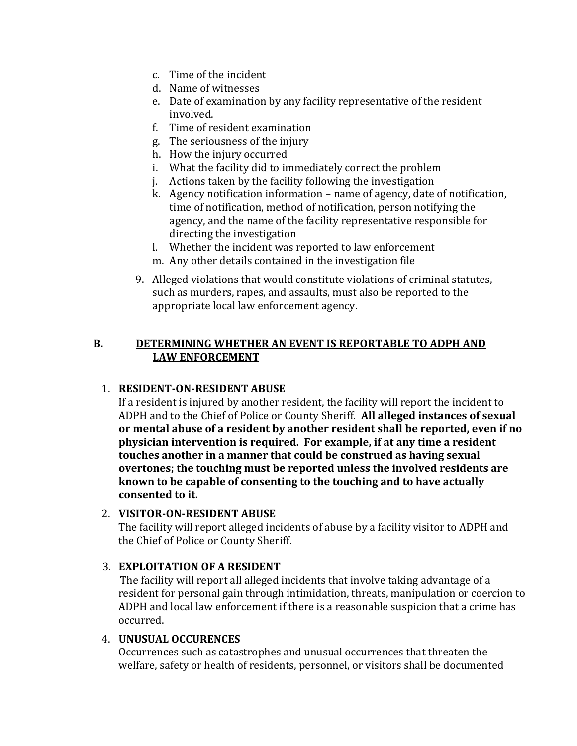- c. Time of the incident
- d. Name of witnesses
- e. Date of examination by any facility representative of the resident involved.
- f. Time of resident examination
- g. The seriousness of the injury
- h. How the injury occurred
- i. What the facility did to immediately correct the problem
- j. Actions taken by the facility following the investigation
- k. Agency notification information name of agency, date of notification, time of notification, method of notification, person notifying the agency, and the name of the facility representative responsible for directing the investigation
- l. Whether the incident was reported to law enforcement
- m. Any other details contained in the investigation file
- 9. Alleged violations that would constitute violations of criminal statutes, such as murders, rapes, and assaults, must also be reported to the appropriate local law enforcement agency.

#### **B. DETERMINING WHETHER AN EVENT IS REPORTABLE TO ADPH AND LAW ENFORCEMENT**

#### 1. **RESIDENT-ON-RESIDENT ABUSE**

If a resident is injured by another resident, the facility will report the incident to ADPH and to the Chief of Police or County Sheriff. **All alleged instances of sexual or mental abuse of a resident by another resident shall be reported, even if no physician intervention is required. For example, if at any time a resident touches another in a manner that could be construed as having sexual overtones; the touching must be reported unless the involved residents are known to be capable of consenting to the touching and to have actually consented to it.**

#### 2. **VISITOR-ON-RESIDENT ABUSE**

The facility will report alleged incidents of abuse by a facility visitor to ADPH and the Chief of Police or County Sheriff.

#### 3. **EXPLOITATION OF A RESIDENT**

 The facility will report all alleged incidents that involve taking advantage of a resident for personal gain through intimidation, threats, manipulation or coercion to ADPH and local law enforcement if there is a reasonable suspicion that a crime has occurred.

#### 4. **UNUSUAL OCCURENCES**

Occurrences such as catastrophes and unusual occurrences that threaten the welfare, safety or health of residents, personnel, or visitors shall be documented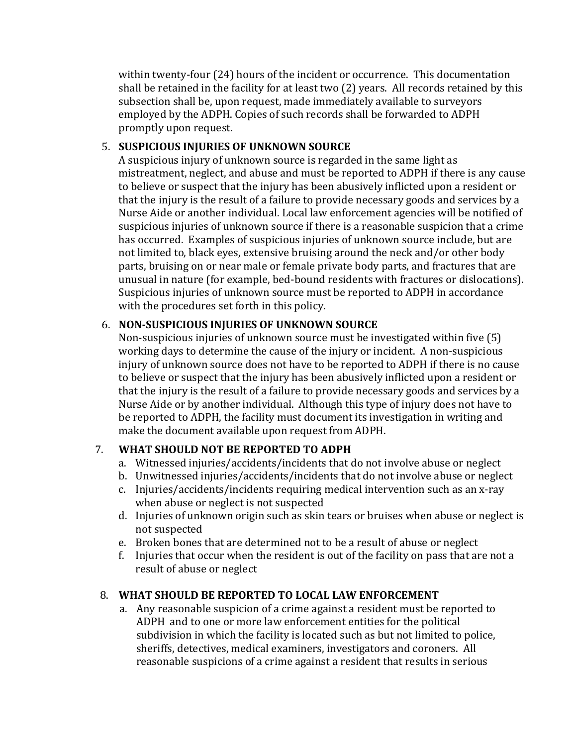within twenty-four (24) hours of the incident or occurrence. This documentation shall be retained in the facility for at least two (2) years. All records retained by this subsection shall be, upon request, made immediately available to surveyors employed by the ADPH. Copies of such records shall be forwarded to ADPH promptly upon request.

#### 5. **SUSPICIOUS INJURIES OF UNKNOWN SOURCE**

A suspicious injury of unknown source is regarded in the same light as mistreatment, neglect, and abuse and must be reported to ADPH if there is any cause to believe or suspect that the injury has been abusively inflicted upon a resident or that the injury is the result of a failure to provide necessary goods and services by a Nurse Aide or another individual. Local law enforcement agencies will be notified of suspicious injuries of unknown source if there is a reasonable suspicion that a crime has occurred. Examples of suspicious injuries of unknown source include, but are not limited to, black eyes, extensive bruising around the neck and/or other body parts, bruising on or near male or female private body parts, and fractures that are unusual in nature (for example, bed-bound residents with fractures or dislocations). Suspicious injuries of unknown source must be reported to ADPH in accordance with the procedures set forth in this policy.

# 6. **NON-SUSPICIOUS INJURIES OF UNKNOWN SOURCE**

Non-suspicious injuries of unknown source must be investigated within five (5) working days to determine the cause of the injury or incident. A non-suspicious injury of unknown source does not have to be reported to ADPH if there is no cause to believe or suspect that the injury has been abusively inflicted upon a resident or that the injury is the result of a failure to provide necessary goods and services by a Nurse Aide or by another individual. Although this type of injury does not have to be reported to ADPH, the facility must document its investigation in writing and make the document available upon request from ADPH.

# 7. **WHAT SHOULD NOT BE REPORTED TO ADPH**

- a. Witnessed injuries/accidents/incidents that do not involve abuse or neglect
- b. Unwitnessed injuries/accidents/incidents that do not involve abuse or neglect
- c. Injuries/accidents/incidents requiring medical intervention such as an x-ray when abuse or neglect is not suspected
- d. Injuries of unknown origin such as skin tears or bruises when abuse or neglect is not suspected
- e. Broken bones that are determined not to be a result of abuse or neglect
- f. Injuries that occur when the resident is out of the facility on pass that are not a result of abuse or neglect

# 8. **WHAT SHOULD BE REPORTED TO LOCAL LAW ENFORCEMENT**

a. Any reasonable suspicion of a crime against a resident must be reported to ADPH and to one or more law enforcement entities for the political subdivision in which the facility is located such as but not limited to police, sheriffs, detectives, medical examiners, investigators and coroners. All reasonable suspicions of a crime against a resident that results in serious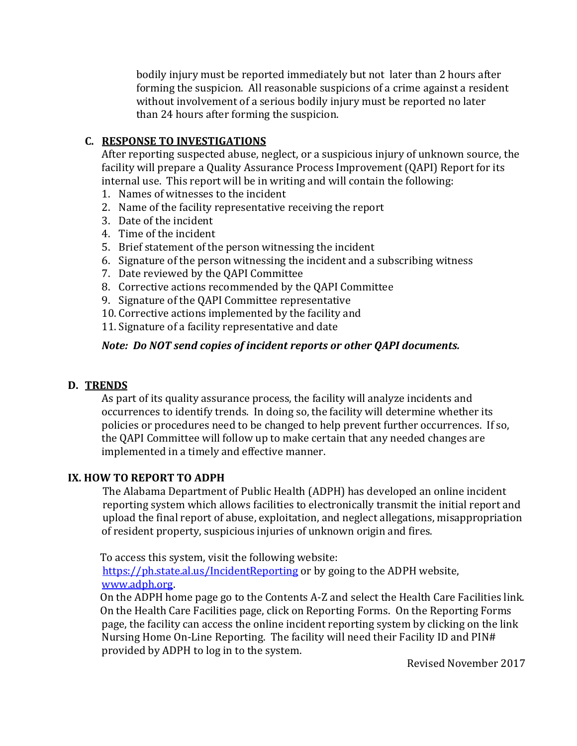bodily injury must be reported immediately but not later than 2 hours after forming the suspicion. All reasonable suspicions of a crime against a resident without involvement of a serious bodily injury must be reported no later than 24 hours after forming the suspicion.

### **C. RESPONSE TO INVESTIGATIONS**

After reporting suspected abuse, neglect, or a suspicious injury of unknown source, the facility will prepare a Quality Assurance Process Improvement (QAPI) Report for its internal use. This report will be in writing and will contain the following:

- 1. Names of witnesses to the incident
- 2. Name of the facility representative receiving the report
- 3. Date of the incident
- 4. Time of the incident
- 5. Brief statement of the person witnessing the incident
- 6. Signature of the person witnessing the incident and a subscribing witness
- 7. Date reviewed by the QAPI Committee
- 8. Corrective actions recommended by the QAPI Committee
- 9. Signature of the QAPI Committee representative
- 10. Corrective actions implemented by the facility and
- 11. Signature of a facility representative and date

### *Note: Do NOT send copies of incident reports or other QAPI documents.*

#### **D. TRENDS**

As part of its quality assurance process, the facility will analyze incidents and occurrences to identify trends. In doing so, the facility will determine whether its policies or procedures need to be changed to help prevent further occurrences. If so, the QAPI Committee will follow up to make certain that any needed changes are implemented in a timely and effective manner.

#### **IX. HOW TO REPORT TO ADPH**

The Alabama Department of Public Health (ADPH) has developed an online incident reporting system which allows facilities to electronically transmit the initial report and upload the final report of abuse, exploitation, and neglect allegations, misappropriation of resident property, suspicious injuries of unknown origin and fires.

 To access this system, visit the following website: <https://ph.state.al.us/IncidentReporting> or by going to the ADPH website, [www.adph.org.](http://www.adph.org/)

 On the ADPH home page go to the Contents A-Z and select the Health Care Facilities link. On the Health Care Facilities page, click on Reporting Forms. On the Reporting Forms page, the facility can access the online incident reporting system by clicking on the link Nursing Home On-Line Reporting. The facility will need their Facility ID and PIN# provided by ADPH to log in to the system.

Revised November 2017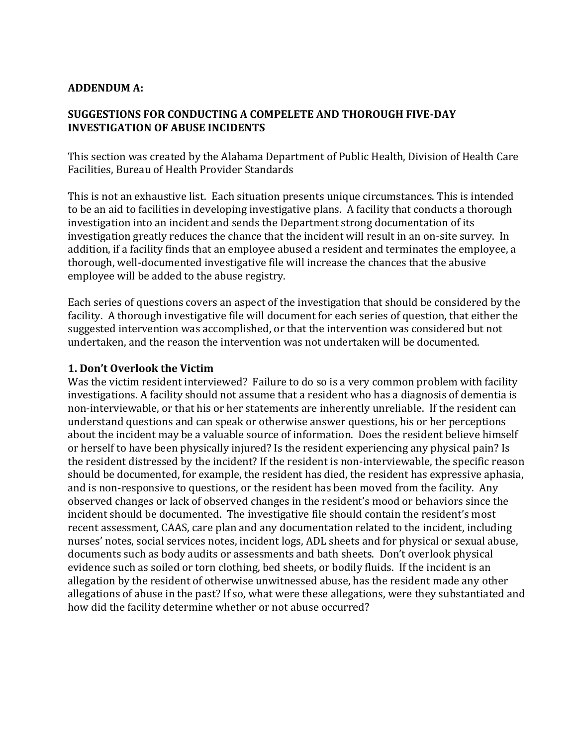#### **ADDENDUM A:**

#### **SUGGESTIONS FOR CONDUCTING A COMPELETE AND THOROUGH FIVE-DAY INVESTIGATION OF ABUSE INCIDENTS**

This section was created by the Alabama Department of Public Health, Division of Health Care Facilities, Bureau of Health Provider Standards

This is not an exhaustive list. Each situation presents unique circumstances. This is intended to be an aid to facilities in developing investigative plans. A facility that conducts a thorough investigation into an incident and sends the Department strong documentation of its investigation greatly reduces the chance that the incident will result in an on-site survey. In addition, if a facility finds that an employee abused a resident and terminates the employee, a thorough, well-documented investigative file will increase the chances that the abusive employee will be added to the abuse registry.

Each series of questions covers an aspect of the investigation that should be considered by the facility. A thorough investigative file will document for each series of question, that either the suggested intervention was accomplished, or that the intervention was considered but not undertaken, and the reason the intervention was not undertaken will be documented.

#### **1. Don't Overlook the Victim**

Was the victim resident interviewed? Failure to do so is a very common problem with facility investigations. A facility should not assume that a resident who has a diagnosis of dementia is non-interviewable, or that his or her statements are inherently unreliable. If the resident can understand questions and can speak or otherwise answer questions, his or her perceptions about the incident may be a valuable source of information. Does the resident believe himself or herself to have been physically injured? Is the resident experiencing any physical pain? Is the resident distressed by the incident? If the resident is non-interviewable, the specific reason should be documented, for example, the resident has died, the resident has expressive aphasia, and is non-responsive to questions, or the resident has been moved from the facility. Any observed changes or lack of observed changes in the resident's mood or behaviors since the incident should be documented. The investigative file should contain the resident's most recent assessment, CAAS, care plan and any documentation related to the incident, including nurses' notes, social services notes, incident logs, ADL sheets and for physical or sexual abuse, documents such as body audits or assessments and bath sheets. Don't overlook physical evidence such as soiled or torn clothing, bed sheets, or bodily fluids. If the incident is an allegation by the resident of otherwise unwitnessed abuse, has the resident made any other allegations of abuse in the past? If so, what were these allegations, were they substantiated and how did the facility determine whether or not abuse occurred?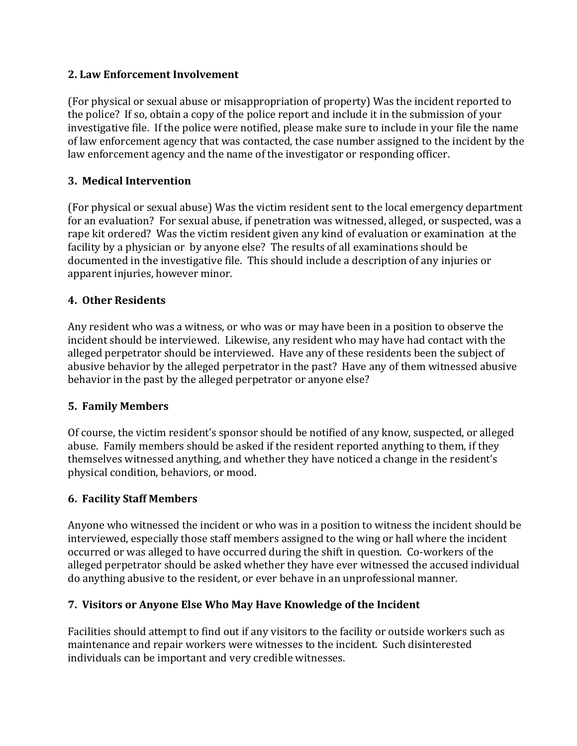### **2. Law Enforcement Involvement**

(For physical or sexual abuse or misappropriation of property) Was the incident reported to the police? If so, obtain a copy of the police report and include it in the submission of your investigative file. If the police were notified, please make sure to include in your file the name of law enforcement agency that was contacted, the case number assigned to the incident by the law enforcement agency and the name of the investigator or responding officer.

# **3. Medical Intervention**

(For physical or sexual abuse) Was the victim resident sent to the local emergency department for an evaluation? For sexual abuse, if penetration was witnessed, alleged, or suspected, was a rape kit ordered? Was the victim resident given any kind of evaluation or examination at the facility by a physician or by anyone else? The results of all examinations should be documented in the investigative file. This should include a description of any injuries or apparent injuries, however minor.

# **4. Other Residents**

Any resident who was a witness, or who was or may have been in a position to observe the incident should be interviewed. Likewise, any resident who may have had contact with the alleged perpetrator should be interviewed. Have any of these residents been the subject of abusive behavior by the alleged perpetrator in the past? Have any of them witnessed abusive behavior in the past by the alleged perpetrator or anyone else?

# **5. Family Members**

Of course, the victim resident's sponsor should be notified of any know, suspected, or alleged abuse. Family members should be asked if the resident reported anything to them, if they themselves witnessed anything, and whether they have noticed a change in the resident's physical condition, behaviors, or mood.

# **6. Facility Staff Members**

Anyone who witnessed the incident or who was in a position to witness the incident should be interviewed, especially those staff members assigned to the wing or hall where the incident occurred or was alleged to have occurred during the shift in question. Co-workers of the alleged perpetrator should be asked whether they have ever witnessed the accused individual do anything abusive to the resident, or ever behave in an unprofessional manner.

# **7. Visitors or Anyone Else Who May Have Knowledge of the Incident**

Facilities should attempt to find out if any visitors to the facility or outside workers such as maintenance and repair workers were witnesses to the incident. Such disinterested individuals can be important and very credible witnesses.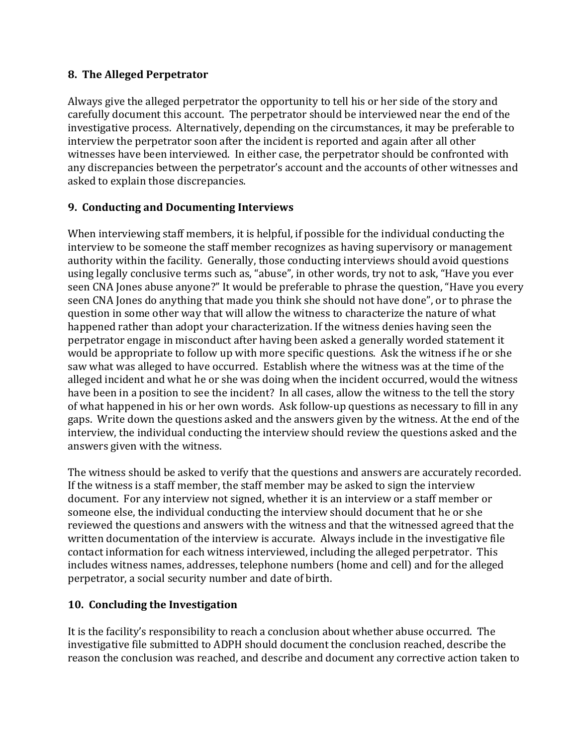# **8. The Alleged Perpetrator**

Always give the alleged perpetrator the opportunity to tell his or her side of the story and carefully document this account. The perpetrator should be interviewed near the end of the investigative process. Alternatively, depending on the circumstances, it may be preferable to interview the perpetrator soon after the incident is reported and again after all other witnesses have been interviewed. In either case, the perpetrator should be confronted with any discrepancies between the perpetrator's account and the accounts of other witnesses and asked to explain those discrepancies.

# **9. Conducting and Documenting Interviews**

When interviewing staff members, it is helpful, if possible for the individual conducting the interview to be someone the staff member recognizes as having supervisory or management authority within the facility. Generally, those conducting interviews should avoid questions using legally conclusive terms such as, "abuse", in other words, try not to ask, "Have you ever seen CNA Jones abuse anyone?" It would be preferable to phrase the question, "Have you every seen CNA Jones do anything that made you think she should not have done", or to phrase the question in some other way that will allow the witness to characterize the nature of what happened rather than adopt your characterization. If the witness denies having seen the perpetrator engage in misconduct after having been asked a generally worded statement it would be appropriate to follow up with more specific questions. Ask the witness if he or she saw what was alleged to have occurred. Establish where the witness was at the time of the alleged incident and what he or she was doing when the incident occurred, would the witness have been in a position to see the incident? In all cases, allow the witness to the tell the story of what happened in his or her own words. Ask follow-up questions as necessary to fill in any gaps. Write down the questions asked and the answers given by the witness. At the end of the interview, the individual conducting the interview should review the questions asked and the answers given with the witness.

The witness should be asked to verify that the questions and answers are accurately recorded. If the witness is a staff member, the staff member may be asked to sign the interview document. For any interview not signed, whether it is an interview or a staff member or someone else, the individual conducting the interview should document that he or she reviewed the questions and answers with the witness and that the witnessed agreed that the written documentation of the interview is accurate. Always include in the investigative file contact information for each witness interviewed, including the alleged perpetrator. This includes witness names, addresses, telephone numbers (home and cell) and for the alleged perpetrator, a social security number and date of birth.

# **10. Concluding the Investigation**

It is the facility's responsibility to reach a conclusion about whether abuse occurred. The investigative file submitted to ADPH should document the conclusion reached, describe the reason the conclusion was reached, and describe and document any corrective action taken to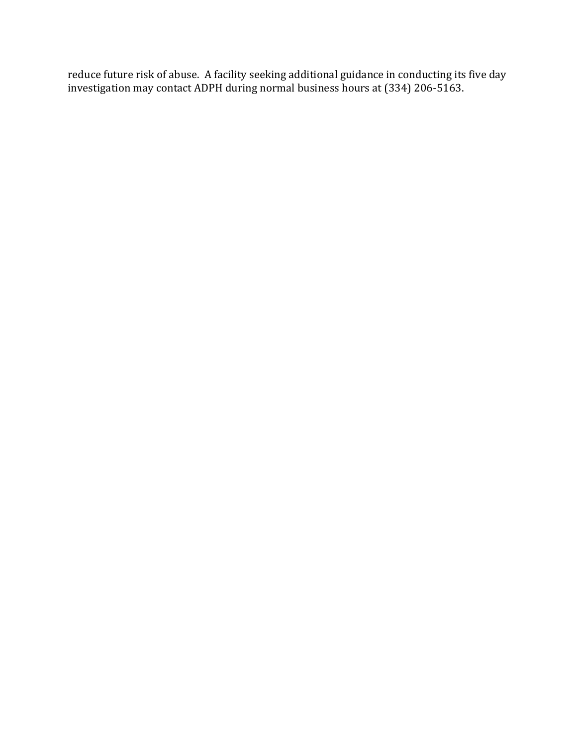reduce future risk of abuse. A facility seeking additional guidance in conducting its five day investigation may contact ADPH during normal business hours at (334) 206-5163.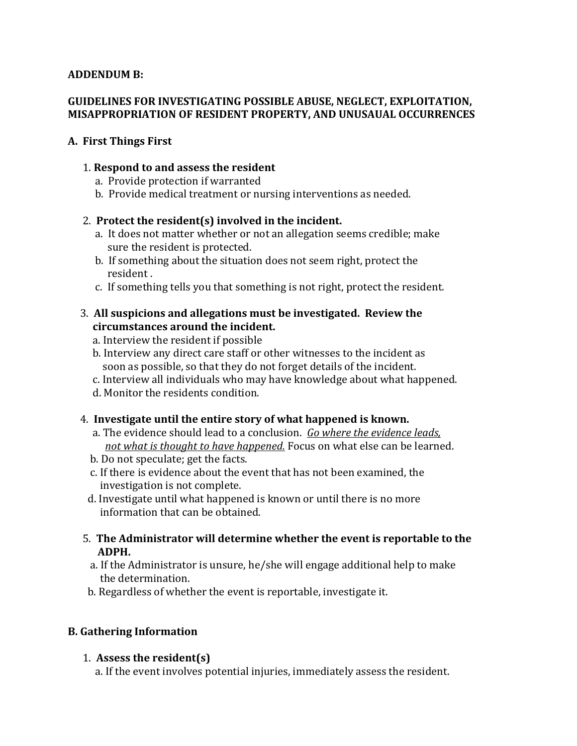#### **ADDENDUM B:**

#### **GUIDELINES FOR INVESTIGATING POSSIBLE ABUSE, NEGLECT, EXPLOITATION, MISAPPROPRIATION OF RESIDENT PROPERTY, AND UNUSAUAL OCCURRENCES**

#### **A. First Things First**

#### 1. **Respond to and assess the resident**

- a. Provide protection if warranted
- b. Provide medical treatment or nursing interventions as needed.

#### 2. **Protect the resident(s) involved in the incident.**

- a. It does not matter whether or not an allegation seems credible; make sure the resident is protected.
- b. If something about the situation does not seem right, protect the resident .
- c. If something tells you that something is not right, protect the resident.

#### 3. **All suspicions and allegations must be investigated. Review the circumstances around the incident.**

- a. Interview the resident if possible
- b. Interview any direct care staff or other witnesses to the incident as soon as possible, so that they do not forget details of the incident.
- c. Interview all individuals who may have knowledge about what happened.
- d. Monitor the residents condition.

#### 4. **Investigate until the entire story of what happened is known.**

- a. The evidence should lead to a conclusion. *Go where the evidence leads, not what is thought to have happened.* Focus on what else can be learned.
- b. Do not speculate; get the facts.
- c. If there is evidence about the event that has not been examined, the investigation is not complete.
- d. Investigate until what happened is known or until there is no more information that can be obtained.
- 5. **The Administrator will determine whether the event is reportable to the ADPH.**
	- a. If the Administrator is unsure, he/she will engage additional help to make the determination.
- b. Regardless of whether the event is reportable, investigate it.

# **B. Gathering Information**

#### 1. **Assess the resident(s)**

a. If the event involves potential injuries, immediately assess the resident.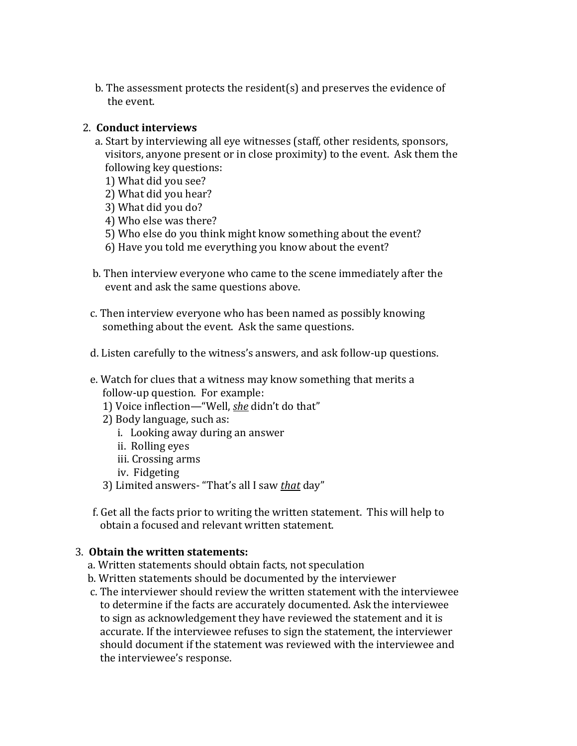b. The assessment protects the resident(s) and preserves the evidence of the event.

#### 2. **Conduct interviews**

- a. Start by interviewing all eye witnesses (staff, other residents, sponsors, visitors, anyone present or in close proximity) to the event. Ask them the following key questions:
	- 1) What did you see?
	- 2) What did you hear?
	- 3) What did you do?
	- 4) Who else was there?
	- 5) Who else do you think might know something about the event?
	- 6) Have you told me everything you know about the event?
- b. Then interview everyone who came to the scene immediately after the event and ask the same questions above.
- c. Then interview everyone who has been named as possibly knowing something about the event. Ask the same questions.
- d. Listen carefully to the witness's answers, and ask follow-up questions.
- e. Watch for clues that a witness may know something that merits a follow-up question. For example:
	- 1) Voice inflection—"Well, *she* didn't do that"
	- 2) Body language, such as:
		- i. Looking away during an answer
		- ii. Rolling eyes
		- iii. Crossing arms
		- iv. Fidgeting
	- 3) Limited answers- "That's all I saw *that* day"
- f. Get all the facts prior to writing the written statement. This will help to obtain a focused and relevant written statement.

#### 3. **Obtain the written statements:**

- a. Written statements should obtain facts, not speculation
- b. Written statements should be documented by the interviewer
- c. The interviewer should review the written statement with the interviewee to determine if the facts are accurately documented. Ask the interviewee to sign as acknowledgement they have reviewed the statement and it is accurate. If the interviewee refuses to sign the statement, the interviewer should document if the statement was reviewed with the interviewee and the interviewee's response.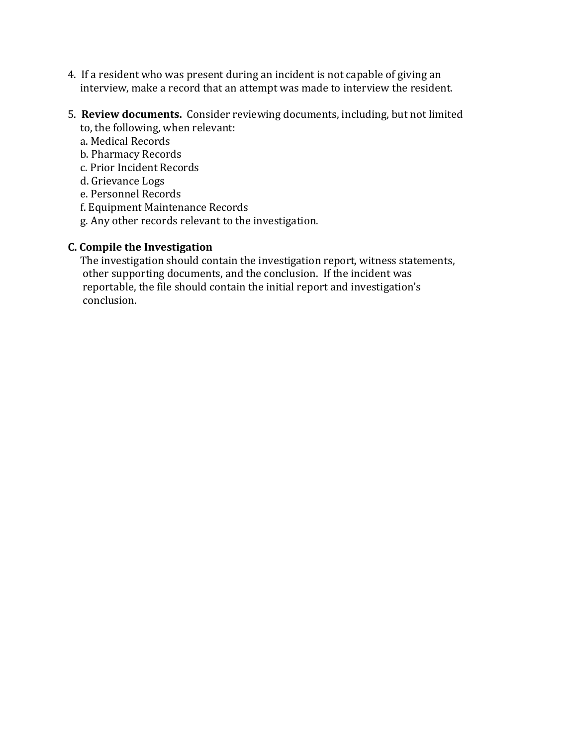- 4. If a resident who was present during an incident is not capable of giving an interview, make a record that an attempt was made to interview the resident.
- 5. **Review documents.** Consider reviewing documents, including, but not limited to, the following, when relevant:
	- a. Medical Records
	- b. Pharmacy Records
	- c. Prior Incident Records
	- d. Grievance Logs
	- e. Personnel Records
	- f. Equipment Maintenance Records
	- g. Any other records relevant to the investigation.

### **C. Compile the Investigation**

The investigation should contain the investigation report, witness statements, other supporting documents, and the conclusion. If the incident was reportable, the file should contain the initial report and investigation's conclusion.